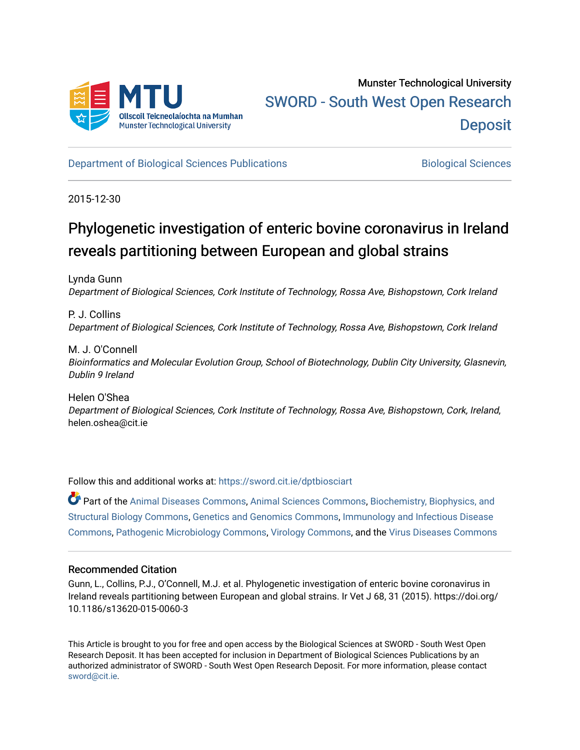

[Department of Biological Sciences Publications](https://sword.cit.ie/dptbiosciart) **Biological Sciences** Biological Sciences

2015-12-30

# Phylogenetic investigation of enteric bovine coronavirus in Ireland reveals partitioning between European and global strains

Lynda Gunn Department of Biological Sciences, Cork Institute of Technology, Rossa Ave, Bishopstown, Cork Ireland

P. J. Collins Department of Biological Sciences, Cork Institute of Technology, Rossa Ave, Bishopstown, Cork Ireland

M. J. O'Connell Bioinformatics and Molecular Evolution Group, School of Biotechnology, Dublin City University, Glasnevin, Dublin 9 Ireland

Helen O'Shea Department of Biological Sciences, Cork Institute of Technology, Rossa Ave, Bishopstown, Cork, Ireland, helen.oshea@cit.ie

Follow this and additional works at: [https://sword.cit.ie/dptbiosciart](https://sword.cit.ie/dptbiosciart?utm_source=sword.cit.ie%2Fdptbiosciart%2F43&utm_medium=PDF&utm_campaign=PDFCoverPages)

Part of the [Animal Diseases Commons,](http://network.bepress.com/hgg/discipline/918?utm_source=sword.cit.ie%2Fdptbiosciart%2F43&utm_medium=PDF&utm_campaign=PDFCoverPages) [Animal Sciences Commons,](http://network.bepress.com/hgg/discipline/76?utm_source=sword.cit.ie%2Fdptbiosciart%2F43&utm_medium=PDF&utm_campaign=PDFCoverPages) [Biochemistry, Biophysics, and](http://network.bepress.com/hgg/discipline/1?utm_source=sword.cit.ie%2Fdptbiosciart%2F43&utm_medium=PDF&utm_campaign=PDFCoverPages) [Structural Biology Commons](http://network.bepress.com/hgg/discipline/1?utm_source=sword.cit.ie%2Fdptbiosciart%2F43&utm_medium=PDF&utm_campaign=PDFCoverPages), [Genetics and Genomics Commons,](http://network.bepress.com/hgg/discipline/27?utm_source=sword.cit.ie%2Fdptbiosciart%2F43&utm_medium=PDF&utm_campaign=PDFCoverPages) [Immunology and Infectious Disease](http://network.bepress.com/hgg/discipline/33?utm_source=sword.cit.ie%2Fdptbiosciart%2F43&utm_medium=PDF&utm_campaign=PDFCoverPages)  [Commons](http://network.bepress.com/hgg/discipline/33?utm_source=sword.cit.ie%2Fdptbiosciart%2F43&utm_medium=PDF&utm_campaign=PDFCoverPages), [Pathogenic Microbiology Commons](http://network.bepress.com/hgg/discipline/52?utm_source=sword.cit.ie%2Fdptbiosciart%2F43&utm_medium=PDF&utm_campaign=PDFCoverPages), [Virology Commons,](http://network.bepress.com/hgg/discipline/53?utm_source=sword.cit.ie%2Fdptbiosciart%2F43&utm_medium=PDF&utm_campaign=PDFCoverPages) and the [Virus Diseases Commons](http://network.bepress.com/hgg/discipline/998?utm_source=sword.cit.ie%2Fdptbiosciart%2F43&utm_medium=PDF&utm_campaign=PDFCoverPages)

# Recommended Citation

Gunn, L., Collins, P.J., O'Connell, M.J. et al. Phylogenetic investigation of enteric bovine coronavirus in Ireland reveals partitioning between European and global strains. Ir Vet J 68, 31 (2015). https://doi.org/ 10.1186/s13620-015-0060-3

This Article is brought to you for free and open access by the Biological Sciences at SWORD - South West Open Research Deposit. It has been accepted for inclusion in Department of Biological Sciences Publications by an authorized administrator of SWORD - South West Open Research Deposit. For more information, please contact [sword@cit.ie.](mailto:sword@cit.ie)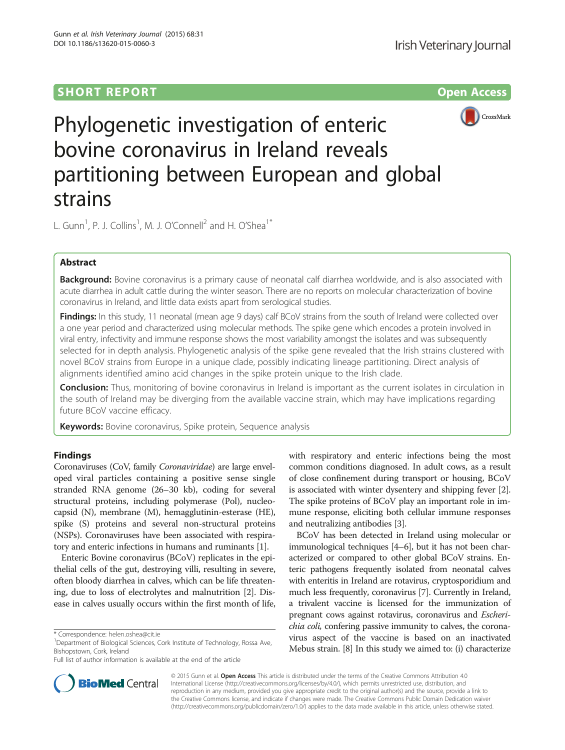# SHORT REPORT NAMEL AND THE SHORT CONSIDERED AS A SERIES OPEN ACCESS



Phylogenetic investigation of enteric bovine coronavirus in Ireland reveals partitioning between European and global strains

L. Gunn<sup>1</sup>, P. J. Collins<sup>1</sup>, M. J. O'Connell<sup>2</sup> and H. O'Shea<sup>1\*</sup>

# Abstract

Background: Bovine coronavirus is a primary cause of neonatal calf diarrhea worldwide, and is also associated with acute diarrhea in adult cattle during the winter season. There are no reports on molecular characterization of bovine coronavirus in Ireland, and little data exists apart from serological studies.

Findings: In this study, 11 neonatal (mean age 9 days) calf BCoV strains from the south of Ireland were collected over a one year period and characterized using molecular methods. The spike gene which encodes a protein involved in viral entry, infectivity and immune response shows the most variability amongst the isolates and was subsequently selected for in depth analysis. Phylogenetic analysis of the spike gene revealed that the Irish strains clustered with novel BCoV strains from Europe in a unique clade, possibly indicating lineage partitioning. Direct analysis of alignments identified amino acid changes in the spike protein unique to the Irish clade.

Conclusion: Thus, monitoring of bovine coronavirus in Ireland is important as the current isolates in circulation in the south of Ireland may be diverging from the available vaccine strain, which may have implications regarding future BCoV vaccine efficacy.

Keywords: Bovine coronavirus, Spike protein, Sequence analysis

## Findings

Coronaviruses (CoV, family Coronaviridae) are large enveloped viral particles containing a positive sense single stranded RNA genome (26–30 kb), coding for several structural proteins, including polymerase (Pol), nucleocapsid (N), membrane (M), hemagglutinin-esterase (HE), spike (S) proteins and several non-structural proteins (NSPs). Coronaviruses have been associated with respiratory and enteric infections in humans and ruminants [[1](#page-6-0)].

Enteric Bovine coronavirus (BCoV) replicates in the epithelial cells of the gut, destroying villi, resulting in severe, often bloody diarrhea in calves, which can be life threatening, due to loss of electrolytes and malnutrition [\[2\]](#page-6-0). Disease in calves usually occurs within the first month of life,

Full list of author information is available at the end of the article

with respiratory and enteric infections being the most common conditions diagnosed. In adult cows, as a result of close confinement during transport or housing, BCoV is associated with winter dysentery and shipping fever [[2](#page-6-0)]. The spike proteins of BCoV play an important role in immune response, eliciting both cellular immune responses and neutralizing antibodies [[3\]](#page-6-0).

BCoV has been detected in Ireland using molecular or immunological techniques [[4](#page-6-0)–[6\]](#page-6-0), but it has not been characterized or compared to other global BCoV strains. Enteric pathogens frequently isolated from neonatal calves with enteritis in Ireland are rotavirus, cryptosporidium and much less frequently, coronavirus [\[7](#page-6-0)]. Currently in Ireland, a trivalent vaccine is licensed for the immunization of pregnant cows against rotavirus, coronavirus and Escherichia coli, confering passive immunity to calves, the coronavirus aspect of the vaccine is based on an inactivated Mebus strain. [\[8](#page-6-0)] In this study we aimed to: (i) characterize



© 2015 Gunn et al. Open Access This article is distributed under the terms of the Creative Commons Attribution 4.0 International License [\(http://creativecommons.org/licenses/by/4.0/](http://creativecommons.org/licenses/by/4.0/)), which permits unrestricted use, distribution, and reproduction in any medium, provided you give appropriate credit to the original author(s) and the source, provide a link to the Creative Commons license, and indicate if changes were made. The Creative Commons Public Domain Dedication waiver [\(http://creativecommons.org/publicdomain/zero/1.0/](http://creativecommons.org/publicdomain/zero/1.0/)) applies to the data made available in this article, unless otherwise stated.

<sup>\*</sup> Correspondence: [helen.oshea@cit.ie](mailto:helen.oshea@cit.ie) <sup>1</sup>

<sup>&</sup>lt;sup>1</sup>Department of Biological Sciences, Cork Institute of Technology, Rossa Ave, Bishopstown, Cork, Ireland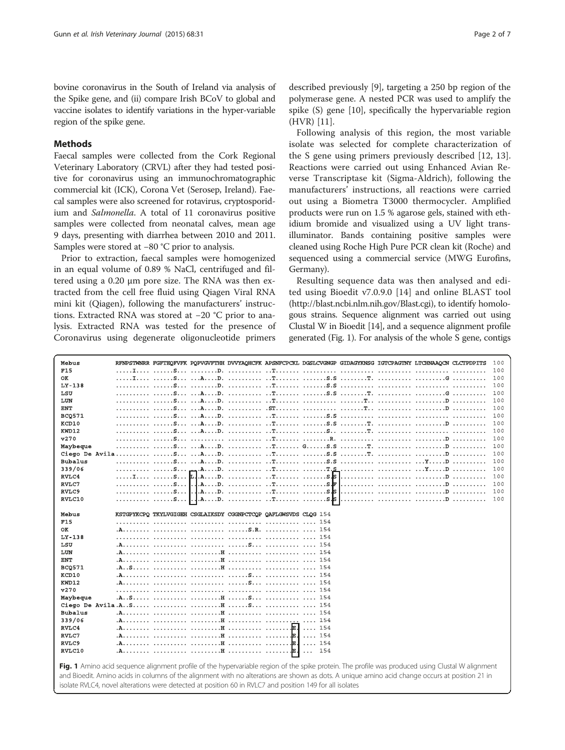<span id="page-2-0"></span>bovine coronavirus in the South of Ireland via analysis of the Spike gene, and (ii) compare Irish BCoV to global and vaccine isolates to identify variations in the hyper-variable region of the spike gene.

### Methods

Faecal samples were collected from the Cork Regional Veterinary Laboratory (CRVL) after they had tested positive for coronavirus using an immunochromatographic commercial kit (ICK), Corona Vet (Serosep, Ireland). Faecal samples were also screened for rotavirus, cryptosporidium and Salmonella. A total of 11 coronavirus positive samples were collected from neonatal calves, mean age 9 days, presenting with diarrhea between 2010 and 2011. Samples were stored at −80 °C prior to analysis.

Prior to extraction, faecal samples were homogenized in an equal volume of 0.89 % NaCl, centrifuged and filtered using a 0.20 μm pore size. The RNA was then extracted from the cell free fluid using Qiagen Viral RNA mini kit (Qiagen), following the manufacturers' instructions. Extracted RNA was stored at −20 °C prior to analysis. Extracted RNA was tested for the presence of Coronavirus using degenerate oligonucleotide primers

described previously [\[9](#page-6-0)], targeting a 250 bp region of the polymerase gene. A nested PCR was used to amplify the spike (S) gene [\[10](#page-6-0)], specifically the hypervariable region (HVR) [[11](#page-6-0)].

Following analysis of this region, the most variable isolate was selected for complete characterization of the S gene using primers previously described [\[12](#page-6-0), [13](#page-6-0)]. Reactions were carried out using Enhanced Avian Reverse Transcriptase kit (Sigma-Aldrich), following the manufacturers' instructions, all reactions were carried out using a Biometra T3000 thermocycler. Amplified products were run on 1.5 % agarose gels, stained with ethidium bromide and visualized using a UV light transilluminator. Bands containing positive samples were cleaned using Roche High Pure PCR clean kit (Roche) and sequenced using a commercial service (MWG Eurofins, Germany).

Resulting sequence data was then analysed and edited using Bioedit v7.0.9.0 [[14\]](#page-6-0) and online BLAST tool (<http://blast.ncbi.nlm.nih.gov/Blast.cgi>), to identify homologous strains. Sequence alignment was carried out using Clustal W in Bioedit [\[14](#page-6-0)], and a sequence alignment profile generated (Fig. 1). For analysis of the whole S gene, contigs

| Mebus                                                                                                                                             | RENPSTWNRR FGFTEQFVFK PQPVGVFTHH DVVYAQHCFK APSNFCPCKL DGSLCVGNGP GIDAGYKNSG IGTCPAGTNY LTCHNAAQCN CLCTPDPITS<br>100                            |  |  |  |  |  |  |
|---------------------------------------------------------------------------------------------------------------------------------------------------|-------------------------------------------------------------------------------------------------------------------------------------------------|--|--|--|--|--|--|
| <b>F15</b>                                                                                                                                        | 100                                                                                                                                             |  |  |  |  |  |  |
| OK                                                                                                                                                | 100                                                                                                                                             |  |  |  |  |  |  |
| $LY-138$                                                                                                                                          | 100                                                                                                                                             |  |  |  |  |  |  |
| LSU                                                                                                                                               | 100                                                                                                                                             |  |  |  |  |  |  |
| LUN                                                                                                                                               | 100                                                                                                                                             |  |  |  |  |  |  |
| <b>ENT</b>                                                                                                                                        | 100                                                                                                                                             |  |  |  |  |  |  |
| <b>BCQ571</b>                                                                                                                                     | 100                                                                                                                                             |  |  |  |  |  |  |
| KCD10                                                                                                                                             | 100                                                                                                                                             |  |  |  |  |  |  |
| KWD12                                                                                                                                             | 100                                                                                                                                             |  |  |  |  |  |  |
| v270                                                                                                                                              | 100                                                                                                                                             |  |  |  |  |  |  |
| Maybeque                                                                                                                                          | 100                                                                                                                                             |  |  |  |  |  |  |
|                                                                                                                                                   | 100                                                                                                                                             |  |  |  |  |  |  |
| <b>Bubalus</b>                                                                                                                                    | 100                                                                                                                                             |  |  |  |  |  |  |
| 339/06                                                                                                                                            | 100                                                                                                                                             |  |  |  |  |  |  |
| RVLC4                                                                                                                                             | 100                                                                                                                                             |  |  |  |  |  |  |
| RVLC7                                                                                                                                             | 100                                                                                                                                             |  |  |  |  |  |  |
| RVLC9                                                                                                                                             | 100                                                                                                                                             |  |  |  |  |  |  |
| RVLC10                                                                                                                                            | .AD.  T S.S<br>100                                                                                                                              |  |  |  |  |  |  |
|                                                                                                                                                   |                                                                                                                                                 |  |  |  |  |  |  |
| Mebus                                                                                                                                             | KSTGPYKCPQ TKYLVGIGEH CSGLAIKSDY CGGNPCTCQP QAFLGWSVDS CLQG 154                                                                                 |  |  |  |  |  |  |
| <b>F15</b>                                                                                                                                        |                                                                                                                                                 |  |  |  |  |  |  |
| OК                                                                                                                                                |                                                                                                                                                 |  |  |  |  |  |  |
| $LY-138$                                                                                                                                          |                                                                                                                                                 |  |  |  |  |  |  |
| LSU                                                                                                                                               |                                                                                                                                                 |  |  |  |  |  |  |
| LUN                                                                                                                                               |                                                                                                                                                 |  |  |  |  |  |  |
| ENT                                                                                                                                               |                                                                                                                                                 |  |  |  |  |  |  |
| <b>BCQ571</b>                                                                                                                                     |                                                                                                                                                 |  |  |  |  |  |  |
| KCD10                                                                                                                                             |                                                                                                                                                 |  |  |  |  |  |  |
| KWD12                                                                                                                                             |                                                                                                                                                 |  |  |  |  |  |  |
| v270                                                                                                                                              |                                                                                                                                                 |  |  |  |  |  |  |
| Maybeque                                                                                                                                          |                                                                                                                                                 |  |  |  |  |  |  |
|                                                                                                                                                   |                                                                                                                                                 |  |  |  |  |  |  |
| <b>Bubalus</b>                                                                                                                                    |                                                                                                                                                 |  |  |  |  |  |  |
| 339/06                                                                                                                                            |                                                                                                                                                 |  |  |  |  |  |  |
| RVLC4                                                                                                                                             |                                                                                                                                                 |  |  |  |  |  |  |
| RVLC7                                                                                                                                             | $\ldots$ 154                                                                                                                                    |  |  |  |  |  |  |
| RVLC9                                                                                                                                             |                                                                                                                                                 |  |  |  |  |  |  |
| RVLC10                                                                                                                                            | $\ldots$ 154                                                                                                                                    |  |  |  |  |  |  |
|                                                                                                                                                   |                                                                                                                                                 |  |  |  |  |  |  |
| Fig. 1 Amino acid sequence alignment profile of the hypervariable region of the spike protein. The profile was produced using Clustal W alignment |                                                                                                                                                 |  |  |  |  |  |  |
|                                                                                                                                                   | and Bioedit. Amino acids in columns of the alignment with no alterations are shown as dots. A unique amino acid change occurs at position 21 in |  |  |  |  |  |  |
|                                                                                                                                                   | isolate RVLC4 novel alterations were detected at position 60 in RVLC7 and position 149 for all isolates                                         |  |  |  |  |  |  |
|                                                                                                                                                   |                                                                                                                                                 |  |  |  |  |  |  |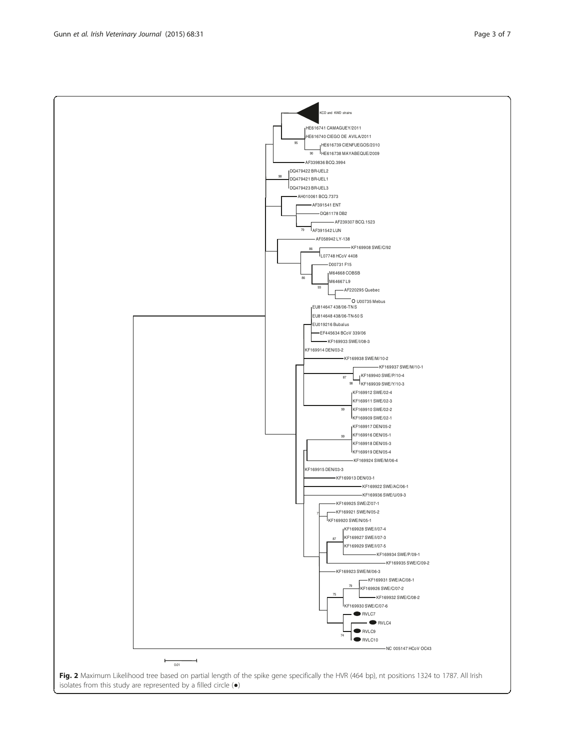Fig. 2 Maximum Likelihood tree based on partial length of the spike gene specifically the HVR (464 bp), nt positions 1324 to 1787. All Irish isolates from this study are represented by a filled circle (●)

<span id="page-3-0"></span>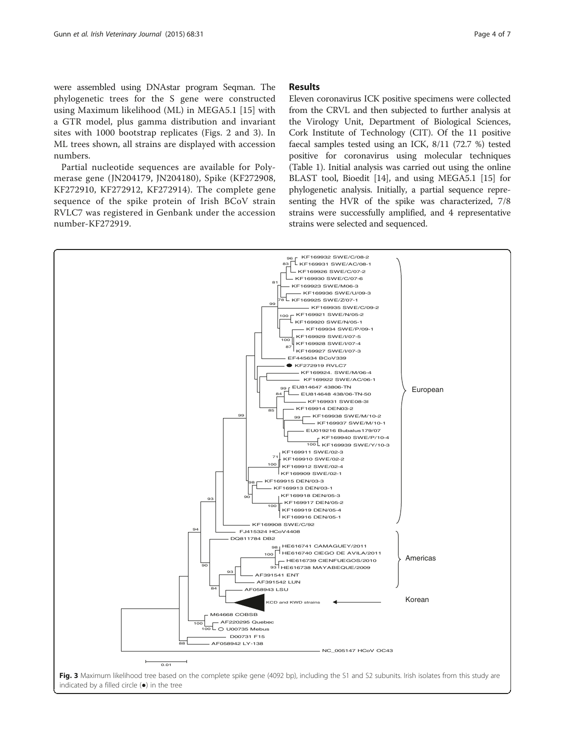<span id="page-4-0"></span>were assembled using DNAstar program Seqman. The phylogenetic trees for the S gene were constructed using Maximum likelihood (ML) in MEGA5.1 [[15](#page-6-0)] with a GTR model, plus gamma distribution and invariant sites with 1000 bootstrap replicates (Figs. [2](#page-3-0) and 3). In ML trees shown, all strains are displayed with accession numbers.

Partial nucleotide sequences are available for Polymerase gene (JN204179, JN204180), Spike (KF272908, KF272910, KF272912, KF272914). The complete gene sequence of the spike protein of Irish BCoV strain RVLC7 was registered in Genbank under the accession number-KF272919.

### Results

Eleven coronavirus ICK positive specimens were collected from the CRVL and then subjected to further analysis at the Virology Unit, Department of Biological Sciences, Cork Institute of Technology (CIT). Of the 11 positive faecal samples tested using an ICK, 8/11 (72.7 %) tested positive for coronavirus using molecular techniques (Table [1\)](#page-5-0). Initial analysis was carried out using the online BLAST tool, Bioedit [\[14\]](#page-6-0), and using MEGA5.1 [[15](#page-6-0)] for phylogenetic analysis. Initially, a partial sequence representing the HVR of the spike was characterized, 7/8 strains were successfully amplified, and 4 representative strains were selected and sequenced.

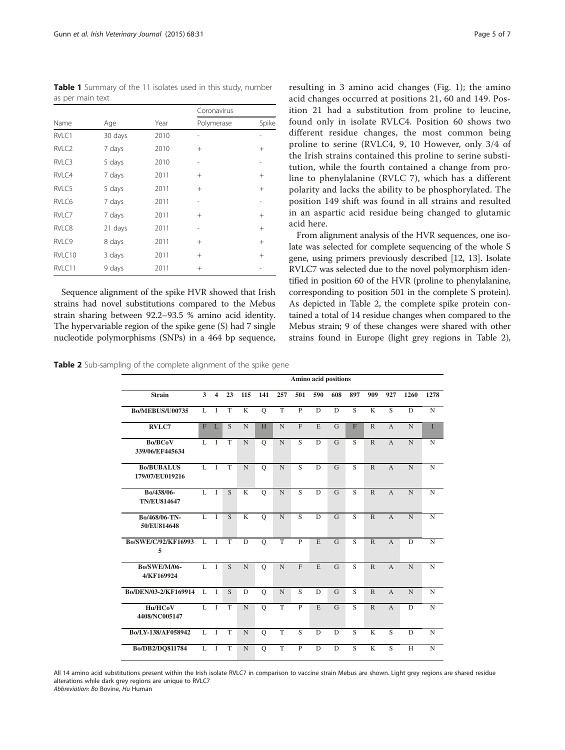<span id="page-5-0"></span>Table 1 Summary of the 11 isolates used in this study, number as per main text

|                   |         |      | Coronavirus |        |
|-------------------|---------|------|-------------|--------|
| Name              | Age     | Year | Polymerase  | Spike  |
| RVLC1             | 30 days | 2010 |             |        |
| RVLC <sub>2</sub> | 7 days  | 2010 | $^{+}$      | $^{+}$ |
| RVLC3             | 5 days  | 2010 |             |        |
| RVLC4             | 7 days  | 2011 | $^{+}$      | $^{+}$ |
| RVLC5             | 5 days  | 2011 | $+$         | $^{+}$ |
| RVLC6             | 7 days  | 2011 |             |        |
| RVLC7             | 7 days  | 2011 | $^{+}$      | $^{+}$ |
| RVLC8             | 21 days | 2011 |             | $^{+}$ |
| RVLC9             | 8 days  | 2011 | $^{+}$      | $^{+}$ |
| RVLC10            | 3 days  | 2011 | $^{+}$      | $^{+}$ |
| RVLC11            | 9 days  | 2011 | $^{+}$      |        |

Sequence alignment of the spike HVR showed that Irish strains had novel substitutions compared to the Mebus strain sharing between 92.2–93.5 % amino acid identity. The hypervariable region of the spike gene (S) had 7 single nucleotide polymorphisms (SNPs) in a 464 bp sequence,

Table 2 Sub-sampling of the complete alignment of the spike gene

|  | Page 5 or |  |
|--|-----------|--|
|  |           |  |

resulting in 3 amino acid changes (Fig. [1](#page-2-0)); the amino acid changes occurred at positions 21, 60 and 149. Position 21 had a substitution from proline to leucine, found only in isolate RVLC4. Position 60 shows two different residue changes, the most common being proline to serine (RVLC4, 9, 10 However, only 3/4 of the Irish strains contained this proline to serine substitution, while the fourth contained a change from proline to phenylalanine (RVLC 7), which has a different polarity and lacks the ability to be phosphorylated. The position 149 shift was found in all strains and resulted in an aspartic acid residue being changed to glutamic acid here.

From alignment analysis of the HVR sequences, one isolate was selected for complete sequencing of the whole S gene, using primers previously described [\[12, 13](#page-6-0)]. Isolate RVLC7 was selected due to the novel polymorphism identified in position 60 of the HVR (proline to phenylalanine, corresponding to position 501 in the complete S protein). As depicted in Table 2, the complete spike protein contained a total of 14 residue changes when compared to the Mebus strain; 9 of these changes were shared with other strains found in Europe (light grey regions in Table 2),

|                                      | Amino acid positions |                         |    |                         |             |                |                |             |                |                |              |                |      |             |
|--------------------------------------|----------------------|-------------------------|----|-------------------------|-------------|----------------|----------------|-------------|----------------|----------------|--------------|----------------|------|-------------|
| <b>Strain</b>                        | 3                    | $\overline{\mathbf{4}}$ | 23 | 115                     | 141         | 257            | 501            | 590         | 608            | 897            | 909          | 927            | 1260 | 1278        |
| <b>Bo/MEBUS/U00735</b>               | L                    | T                       | T  | $\overline{\mathbf{K}}$ | $\circ$     | $\overline{T}$ | $\overline{P}$ | D           | D              | $\overline{S}$ | K            | $\overline{S}$ | D    | N           |
| <b>RVLC7</b>                         | F                    | L                       | S  | N                       | H           | $\mathbf N$    | $\mathbf{F}$   | E           | $\overline{G}$ | F              | $\mathbb{R}$ | $\overline{A}$ | N    | T           |
| <b>Bo/BCoV</b><br>339/06/EF445634    | L                    | T                       | T  | $\mathbf N$             | $\mathbf Q$ | $\mathbf N$    | S              | D           | G              | S              | $\mathbb{R}$ | $\overline{A}$ | N    | $\mathbf N$ |
| <b>Bo/BUBALUS</b><br>179/07/EU019216 | L                    | $\mathbf{I}$            | T  | N                       | $\circ$     | N              | $\overline{S}$ | $\mathbf D$ | $\overline{G}$ | S              | $\mathbb{R}$ | $\overline{A}$ | N    | $\mathbf N$ |
| Bo/438/06-<br><b>TN/EU814647</b>     | L                    | $\mathbf{I}$            | S  | $\mathbf K$             | $\circ$     | $\mathbf N$    | S              | $\mathbf D$ | $\mathbf G$    | S              | $\mathbb{R}$ | $\overline{A}$ | N    | $\mathbf N$ |
| Bo/468/06-TN-<br>50/EU814648         | L                    | T                       | S  | $\mathbf K$             | $\mathbf Q$ | $\mathbf N$    | $\overline{S}$ | D           | G              | S              | $\mathbb{R}$ | $\overline{A}$ | N    | $\mathbf N$ |
| Bo/SWE/C/92/KF16993<br>5             | $\mathbf{L}$         | $\overline{1}$          | T  | D                       | $\mathbf Q$ | $\mathbf T$    | $\mathbf{P}$   | E           | G              | S              | $\mathbb{R}$ | $\overline{A}$ | D    | ${\bf N}$   |
| <b>Bo/SWE/M/06-</b><br>4/KF169924    | L                    | $\mathbf{I}$            | S  | N                       | $\mathbf Q$ | $\overline{N}$ | $\overline{F}$ | E           | $\mathbf G$    | S              | $\mathbb{R}$ | $\overline{A}$ | N    | $\mathbf N$ |
| Bo/DEN/03-2/KF169914                 | L                    | I                       | S. | D                       | $\mathbf Q$ | $\mathbf N$    | S              | D           | G              | S              | $\mathbb{R}$ | $\overline{A}$ | N    | $\mathbf N$ |
| Hu/HCoV<br>4408/NC005147             | L                    | $\mathbf{I}$            | T  | N                       | $\circ$     | T              | $\mathbf{P}$   | E           | $\overline{G}$ | S              | $\mathbb{R}$ | $\overline{A}$ | D    | $\mathbf N$ |
| Bo/LY-138/AF058942                   | L                    | I                       | T  | $\mathbf N$             | $\mathbf Q$ | T              | S              | $\mathbf D$ | $\mathbf D$    | S              | K            | S              | D    | $\mathbf N$ |
| Bo/DB2/DQ811784                      | L                    | I                       | T  | N                       | $\mathbf Q$ | $\mathbf T$    | $\mathbf{P}$   | D           | D              | S              | $\mathbf K$  | S              | H    | $\mathbf N$ |

All 14 amino acid substitutions present within the Irish isolate RVLC7 in comparison to vaccine strain Mebus are shown. Light grey regions are shared residue alterations while dark grey regions are unique to RVLC7

Abbreviation: Bo Bovine, Hu Human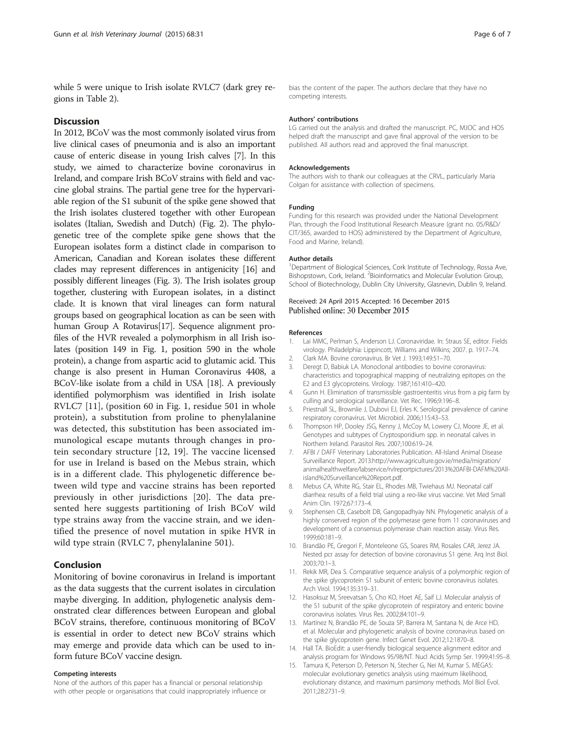<span id="page-6-0"></span>while 5 were unique to Irish isolate RVLC7 (dark grey regions in Table [2](#page-5-0)).

#### **Discussion**

In 2012, BCoV was the most commonly isolated virus from live clinical cases of pneumonia and is also an important cause of enteric disease in young Irish calves [7]. In this study, we aimed to characterize bovine coronavirus in Ireland, and compare Irish BCoV strains with field and vaccine global strains. The partial gene tree for the hypervariable region of the S1 subunit of the spike gene showed that the Irish isolates clustered together with other European isolates (Italian, Swedish and Dutch) (Fig. [2](#page-3-0)). The phylogenetic tree of the complete spike gene shows that the European isolates form a distinct clade in comparison to American, Canadian and Korean isolates these different clades may represent differences in antigenicity [[16](#page-7-0)] and possibly different lineages (Fig. [3\)](#page-4-0). The Irish isolates group together, clustering with European isolates, in a distinct clade. It is known that viral lineages can form natural groups based on geographical location as can be seen with human Group A Rotavirus[[17](#page-7-0)]. Sequence alignment profiles of the HVR revealed a polymorphism in all Irish isolates (position 149 in Fig. [1](#page-2-0), position 590 in the whole protein), a change from aspartic acid to glutamic acid. This change is also present in Human Coronavirus 4408, a BCoV-like isolate from a child in USA [\[18\]](#page-7-0). A previously identified polymorphism was identified in Irish isolate RVLC7 [11], (position 60 in Fig. [1,](#page-2-0) residue 501 in whole protein), a substitution from proline to phenylalanine was detected, this substitution has been associated immunological escape mutants through changes in protein secondary structure [12, [19\]](#page-7-0). The vaccine licensed for use in Ireland is based on the Mebus strain, which is in a different clade. This phylogenetic difference between wild type and vaccine strains has been reported previously in other jurisdictions [[20\]](#page-7-0). The data presented here suggests partitioning of Irish BCoV wild type strains away from the vaccine strain, and we identified the presence of novel mutation in spike HVR in wild type strain (RVLC 7, phenylalanine 501).

### Conclusion

Monitoring of bovine coronavirus in Ireland is important as the data suggests that the current isolates in circulation maybe diverging. In addition, phylogenetic analysis demonstrated clear differences between European and global BCoV strains, therefore, continuous monitoring of BCoV is essential in order to detect new BCoV strains which may emerge and provide data which can be used to inform future BCoV vaccine design.

#### Competing interests

None of the authors of this paper has a financial or personal relationship with other people or organisations that could inappropriately influence or bias the content of the paper. The authors declare that they have no competing interests.

#### Authors' contributions

LG carried out the analysis and drafted the manuscript. PC, MJOC and HOS helped draft the manuscript and gave final approval of the version to be published. All authors read and approved the final manuscript.

#### Acknowledgements

The authors wish to thank our colleagues at the CRVL, particularly Maria Colgan for assistance with collection of specimens.

#### Funding

Funding for this research was provided under the National Development Plan, through the Food Institutional Research Measure (grant no. 05/R&D/ CIT/365, awarded to HOS) administered by the Department of Agriculture, Food and Marine, Ireland).

#### Author details

<sup>1</sup>Department of Biological Sciences, Cork Institute of Technology, Rossa Ave, Bishopstown, Cork, Ireland. <sup>2</sup> Bioinformatics and Molecular Evolution Group, School of Biotechnology, Dublin City University, Glasnevin, Dublin 9, Ireland.

### Received: 24 April 2015 Accepted: 16 December 2015 Published online: 30 December 2015

#### References

- 1. Lai MMC, Perlman S, Anderson LJ. Coronaviridae. In: Straus SE, editor. Fields virology. Philadelphia: Lippincott, Williams and Wilkins; 2007. p. 1917–74.
- 2. Clark MA. Bovine coronavirus. Br Vet J. 1993;149:51–70.
- 3. Deregt D, Babiuk LA. Monoclonal antibodies to bovine coronavirus: characteristics and topographical mapping of neutralizing epitopes on the E2 and E3 glycoproteins. Virology. 1987;161:410–420.
- 4. Gunn H. Elimination of transmissible gastroenteritis virus from a pig farm by culling and serological surveillance. Vet Rec. 1996;9:196–8.
- 5. Priestnall SL, Brownlie J, Dubovi EJ, Erles K. Serological prevalence of canine respiratory coronavirus. Vet Microbiol. 2006;115:43–53.
- 6. Thompson HP, Dooley JSG, Kenny J, McCoy M, Lowery CJ, Moore JE, et al. Genotypes and subtypes of Cryptosporidium spp. in neonatal calves in Northern Ireland. Parasitol Res. 2007;100:619–24.
- 7. AFBI / DAFF Veterinary Laboratories Publication. All-Island Animal Disease Surveillance Report. 2013[.http://www.agriculture.gov.ie/media/migration/](http://www.agriculture.gov.ie/media/migration/animalhealthwelfare/labservice/rvlreportpictures/2013%20AFBI-DAFM%20All-island%20Surveillance%20Report.pdf) [animalhealthwelfare/labservice/rvlreportpictures/2013%20AFBI-DAFM%20All](http://www.agriculture.gov.ie/media/migration/animalhealthwelfare/labservice/rvlreportpictures/2013%20AFBI-DAFM%20All-island%20Surveillance%20Report.pdf)[island%20Surveillance%20Report.pdf](http://www.agriculture.gov.ie/media/migration/animalhealthwelfare/labservice/rvlreportpictures/2013%20AFBI-DAFM%20All-island%20Surveillance%20Report.pdf).
- 8. Mebus CA, White RG, Stair EL, Rhodes MB, Twiehaus MJ. Neonatal calf diarrhea: results of a field trial using a reo-like virus vaccine. Vet Med Small Anim Clin. 1972;67:173–4.
- 9. Stephensen CB, Casebolt DB, Gangopadhyay NN. Phylogenetic analysis of a highly conserved region of the polymerase gene from 11 coronaviruses and development of a consensus polymerase chain reaction assay. Virus Res. 1999;60:181–9.
- 10. Brandão PE, Gregori F, Monteleone GS, Soares RM, Rosales CAR, Jerez JA. Nested pcr assay for detection of bovine coronavirus S1 gene. Arq Inst Biol. 2003;70:1–3.
- 11. Rekik MR, Dea S. Comparative sequence analysis of a polymorphic region of the spike glycoprotein S1 subunit of enteric bovine coronavirus isolates. Arch Virol. 1994;135:319–31.
- 12. Hasoksuz M, Sreevatsan S, Cho KO, Hoet AE, Saif LJ. Molecular analysis of the S1 subunit of the spike glycoprotein of respiratory and enteric bovine coronavirus isolates. Virus Res. 2002;84:101–9.
- 13. Martínez N, Brandão PE, de Souza SP, Barrera M, Santana N, de Arce HD, et al. Molecular and phylogenetic analysis of bovine coronavirus based on the spike glycoprotein gene. Infect Genet Evol. 2012;12:1870–8.
- 14. Hall TA. BioEdit: a user-friendly biological sequence alignment editor and analysis program for Windows 95/98/NT. Nucl Acids Symp Ser. 1999;41:95–8.
- 15. Tamura K, Peterson D, Peterson N, Stecher G, Nei M, Kumar S. MEGA5: molecular evolutionary genetics analysis using maximum likelihood, evolutionary distance, and maximum parsimony methods. Mol Biol Evol. 2011;28:2731–9.